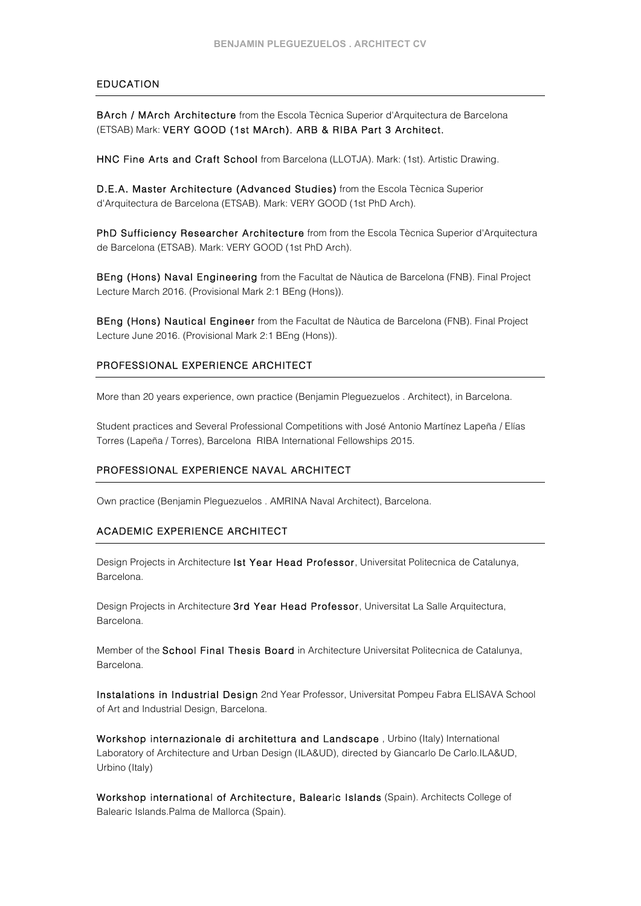## EDUCATION

BArch / MArch Architecture from the Escola Tècnica Superior d'Arquitectura de Barcelona (ETSAB) Mark: VERY GOOD (1st MArch). ARB & RIBA Part 3 Architect.

HNC Fine Arts and Craft School from Barcelona (LLOTJA). Mark: (1st). Artistic Drawing.

D.E.A. Master Architecture (Advanced Studies) from the Escola Tècnica Superior d'Arquitectura de Barcelona (ETSAB). Mark: VERY GOOD (1st PhD Arch).

PhD Sufficiency Researcher Architecture from from the Escola Tècnica Superior d'Arquitectura de Barcelona (ETSAB). Mark: VERY GOOD (1st PhD Arch).

BEng (Hons) Naval Engineering from the Facultat de Nàutica de Barcelona (FNB). Final Project Lecture March 2016. (Provisional Mark 2:1 BEng (Hons)).

BEng (Hons) Nautical Engineer from the Facultat de Nàutica de Barcelona (FNB). Final Project Lecture June 2016. (Provisional Mark 2:1 BEng (Hons)).

### PROFESSIONAL EXPERIENCE ARCHITECT

More than 20 years experience, own practice (Benjamin Pleguezuelos . Architect), in Barcelona.

Student practices and Several Professional Competitions with José Antonio Martínez Lapeña / Elías Torres (Lapeña / Torres), Barcelona RIBA International Fellowships 2015.

### PROFESSIONAL EXPERIENCE NAVAL ARCHITECT

Own practice (Benjamin Pleguezuelos . AMRINA Naval Architect), Barcelona.

### ACADEMIC EXPERIENCE ARCHITECT

Design Projects in Architecture Ist Year Head Professor, Universitat Politecnica de Catalunya, Barcelona.

Design Projects in Architecture 3rd Year Head Professor, Universitat La Salle Arquitectura, Barcelona.

Member of the School Final Thesis Board in Architecture Universitat Politecnica de Catalunya, Barcelona.

Instalations in Industrial Design 2nd Year Professor, Universitat Pompeu Fabra ELISAVA School of Art and Industrial Design, Barcelona.

Workshop internazionale di architettura and Landscape , Urbino (Italy) International Laboratory of Architecture and Urban Design (ILA&UD), directed by Giancarlo De Carlo.ILA&UD, Urbino (Italy)

Workshop international of Architecture, Balearic Islands (Spain). Architects College of Balearic Islands.Palma de Mallorca (Spain).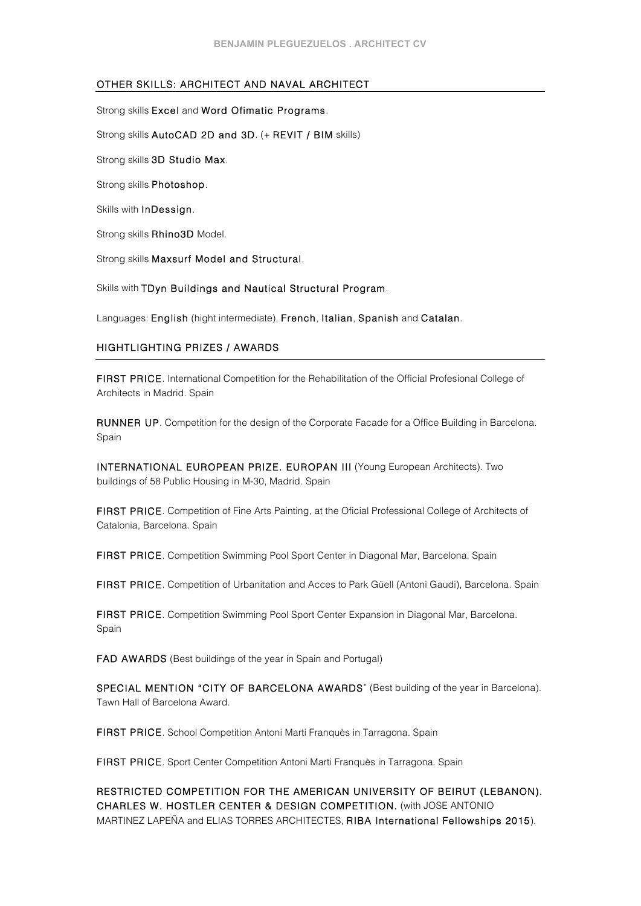# OTHER SKILLS: ARCHITECT AND NAVAL ARCHITECT

Strong skills Excel and Word Ofimatic Programs. Strong skills AutoCAD 2D and 3D. (+ REVIT / BIM skills) Strong skills 3D Studio Max. Strong skills Photoshop. Skills with InDessign. Strong skills Rhino3D Model. Strong skills Maxsurf Model and Structural.

Skills with TDyn Buildings and Nautical Structural Program.

Languages: English (hight intermediate), French, Italian, Spanish and Catalan.

# HIGHTLIGHTING PRIZES / AWARDS

FIRST PRICE. International Competition for the Rehabilitation of the Official Profesional College of Architects in Madrid. Spain

RUNNER UP. Competition for the design of the Corporate Facade for a Office Building in Barcelona. Spain

INTERNATIONAL EUROPEAN PRIZE. EUROPAN III (Young European Architects). Two buildings of 58 Public Housing in M-30, Madrid. Spain

FIRST PRICE. Competition of Fine Arts Painting, at the Oficial Professional College of Architects of Catalonia, Barcelona. Spain

FIRST PRICE. Competition Swimming Pool Sport Center in Diagonal Mar, Barcelona. Spain

FIRST PRICE. Competition of Urbanitation and Acces to Park Güell (Antoni Gaudi), Barcelona. Spain

FIRST PRICE. Competition Swimming Pool Sport Center Expansion in Diagonal Mar, Barcelona. Spain

FAD AWARDS (Best buildings of the year in Spain and Portugal)

SPECIAL MENTION "CITY OF BARCELONA AWARDS" (Best building of the year in Barcelona). Tawn Hall of Barcelona Award.

FIRST PRICE. School Competition Antoni Marti Franquès in Tarragona. Spain

FIRST PRICE. Sport Center Competition Antoni Marti Franquès in Tarragona. Spain

RESTRICTED COMPETITION FOR THE AMERICAN UNIVERSITY OF BEIRUT (LEBANON). CHARLES W. HOSTLER CENTER & DESIGN COMPETITION. (with JOSE ANTONIO MARTINEZ LAPEÑA and ELIAS TORRES ARCHITECTES, RIBA International Fellowships 2015).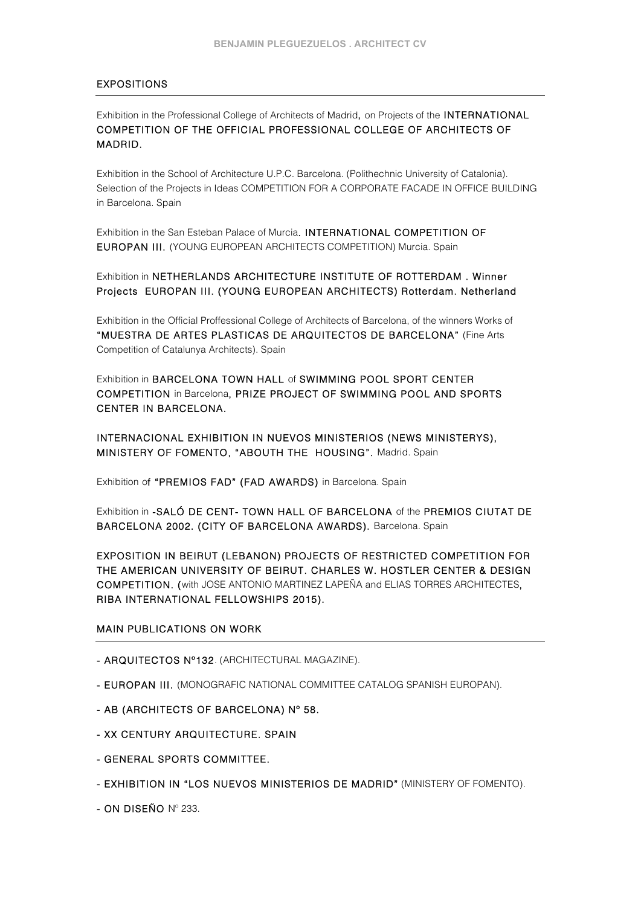# EXPOSITIONS

Exhibition in the Professional College of Architects of Madrid, on Projects of the INTERNATIONAL COMPETITION OF THE OFFICIAL PROFESSIONAL COLLEGE OF ARCHITECTS OF MADRID.

Exhibition in the School of Architecture U.P.C. Barcelona. (Polithechnic University of Catalonia). Selection of the Projects in Ideas COMPETITION FOR A CORPORATE FACADE IN OFFICE BUILDING in Barcelona. Spain

Exhibition in the San Esteban Palace of Murcia. INTERNATIONAL COMPETITION OF EUROPAN III. (YOUNG EUROPEAN ARCHITECTS COMPETITION) Murcia. Spain

Exhibition in NETHERLANDS ARCHITECTURE INSTITUTE OF ROTTERDAM . Winner Projects EUROPAN III. (YOUNG EUROPEAN ARCHITECTS) Rotterdam. Netherland

Exhibition in the Official Proffessional College of Architects of Barcelona, of the winners Works of "MUESTRA DE ARTES PLASTICAS DE ARQUITECTOS DE BARCELONA" (Fine Arts Competition of Catalunya Architects). Spain

Exhibition in BARCELONA TOWN HALL of SWIMMING POOL SPORT CENTER COMPETITION in Barcelona, PRIZE PROJECT OF SWIMMING POOL AND SPORTS CENTER IN BARCELONA.

INTERNACIONAL EXHIBITION IN NUEVOS MINISTERIOS (NEWS MINISTERYS), MINISTERY OF FOMENTO, "ABOUTH THE HOUSING". Madrid. Spain

Exhibition of "PREMIOS FAD" (FAD AWARDS) in Barcelona. Spain

Exhibition in -SALÓ DE CENT- TOWN HALL OF BARCELONA of the PREMIOS CIUTAT DE BARCELONA 2002. (CITY OF BARCELONA AWARDS). Barcelona. Spain

EXPOSITION IN BEIRUT (LEBANON) PROJECTS OF RESTRICTED COMPETITION FOR THE AMERICAN UNIVERSITY OF BEIRUT. CHARLES W. HOSTLER CENTER & DESIGN COMPETITION. (with JOSE ANTONIO MARTINEZ LAPEÑA and ELIAS TORRES ARCHITECTES, RIBA INTERNATIONAL FELLOWSHIPS 2015).

# MAIN PUBLICATIONS ON WORK

- ARQUITECTOS Nº132. (ARCHITECTURAL MAGAZINE).
- EUROPAN III. (MONOGRAFIC NATIONAL COMMITTEE CATALOG SPANISH EUROPAN).
- AB (ARCHITECTS OF BARCELONA) Nº 58.
- XX CENTURY ARQUITECTURE. SPAIN
- GENERAL SPORTS COMMITTEE.
- EXHIBITION IN "LOS NUEVOS MINISTERIOS DE MADRID" (MINISTERY OF FOMENTO).
- ON DISEÑO Nº 233.